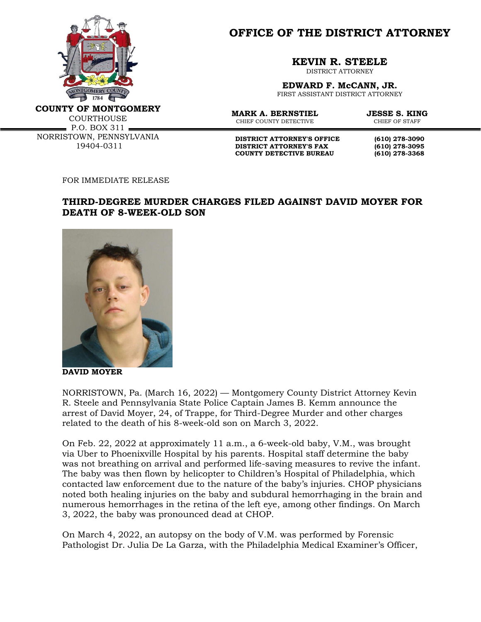

**OFFICE OF THE DISTRICT ATTORNEY**

**KEVIN R. STEELE**

DISTRICT ATTORNEY

**EDWARD F. McCANN, JR.** FIRST ASSISTANT DISTRICT ATTORNEY

**COUNTY OF MONTGOMERY**

**COURTHOUSE**  $\cdot$  P.O. BOX 311  $\cdot$ NORRISTOWN, PENNSYLVANIA 19404-0311

**MARK A. BERNSTIEL JESSE S. KING**<br>CHIEF COUNTY DETECTIVE CHIEF OF STAFF CHIEF COUNTY DETECTIVE

**DISTRICT ATTORNEY'S OFFICE (610) 278-3090 DISTRICT ATTORNEY'S FAX (610) 278-3095 COUNTY DETECTIVE BUREAU (610) 278-3368**

FOR IMMEDIATE RELEASE

## **THIRD-DEGREE MURDER CHARGES FILED AGAINST DAVID MOYER FOR DEATH OF 8-WEEK-OLD SON**



**DAVID MOYER**

NORRISTOWN, Pa. (March 16, 2022) — Montgomery County District Attorney Kevin R. Steele and Pennsylvania State Police Captain James B. Kemm announce the arrest of David Moyer, 24, of Trappe, for Third-Degree Murder and other charges related to the death of his 8-week-old son on March 3, 2022.

On Feb. 22, 2022 at approximately 11 a.m., a 6-week-old baby, V.M., was brought via Uber to Phoenixville Hospital by his parents. Hospital staff determine the baby was not breathing on arrival and performed life-saving measures to revive the infant. The baby was then flown by helicopter to Children's Hospital of Philadelphia, which contacted law enforcement due to the nature of the baby's injuries. CHOP physicians noted both healing injuries on the baby and subdural hemorrhaging in the brain and numerous hemorrhages in the retina of the left eye, among other findings. On March 3, 2022, the baby was pronounced dead at CHOP.

On March 4, 2022, an autopsy on the body of V.M. was performed by Forensic Pathologist Dr. Julia De La Garza, with the Philadelphia Medical Examiner's Officer,